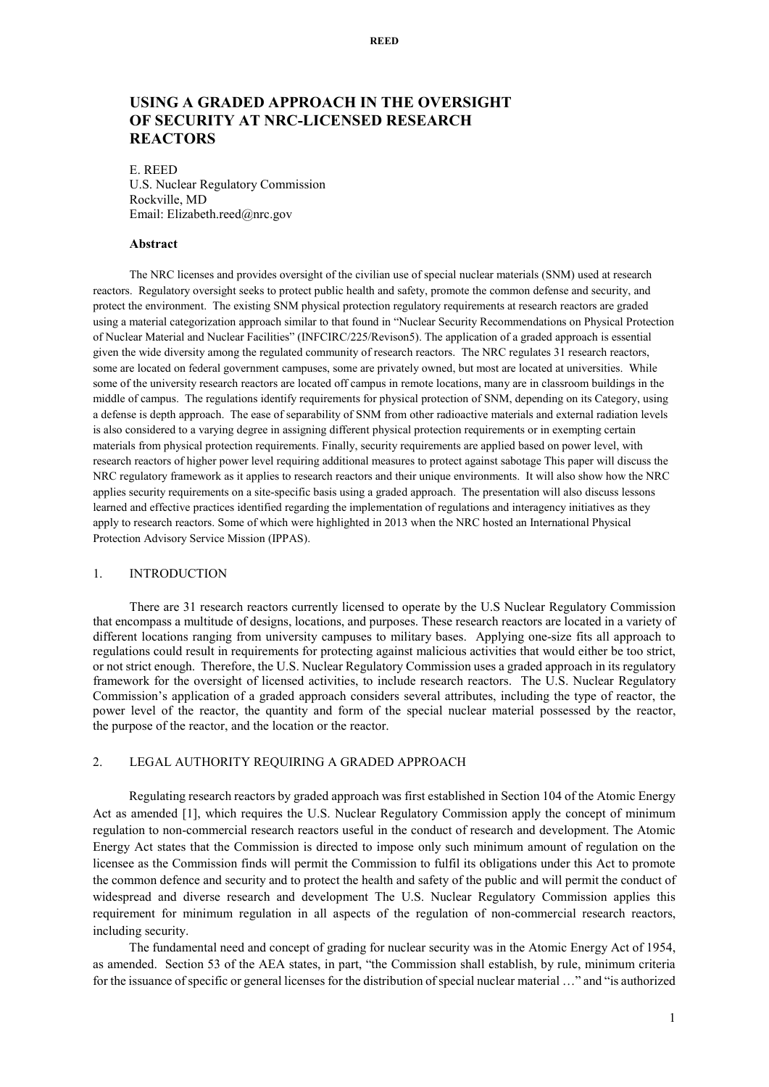# **USING A GRADED APPROACH IN THE OVERSIGHT OF SECURITY AT NRC-LICENSED RESEARCH REACTORS**

E. REED U.S. Nuclear Regulatory Commission Rockville, MD Email: Elizabeth.reed@nrc.gov

#### **Abstract**

The NRC licenses and provides oversight of the civilian use of special nuclear materials (SNM) used at research reactors. Regulatory oversight seeks to protect public health and safety, promote the common defense and security, and protect the environment. The existing SNM physical protection regulatory requirements at research reactors are graded using a material categorization approach similar to that found in "Nuclear Security Recommendations on Physical Protection of Nuclear Material and Nuclear Facilities" (INFCIRC/225/Revison5). The application of a graded approach is essential given the wide diversity among the regulated community of research reactors. The NRC regulates 31 research reactors, some are located on federal government campuses, some are privately owned, but most are located at universities. While some of the university research reactors are located off campus in remote locations, many are in classroom buildings in the middle of campus. The regulations identify requirements for physical protection of SNM, depending on its Category, using a defense is depth approach. The ease of separability of SNM from other radioactive materials and external radiation levels is also considered to a varying degree in assigning different physical protection requirements or in exempting certain materials from physical protection requirements. Finally, security requirements are applied based on power level, with research reactors of higher power level requiring additional measures to protect against sabotage This paper will discuss the NRC regulatory framework as it applies to research reactors and their unique environments. It will also show how the NRC applies security requirements on a site-specific basis using a graded approach. The presentation will also discuss lessons learned and effective practices identified regarding the implementation of regulations and interagency initiatives as they apply to research reactors. Some of which were highlighted in 2013 when the NRC hosted an International Physical Protection Advisory Service Mission (IPPAS).

# 1. INTRODUCTION

There are 31 research reactors currently licensed to operate by the U.S Nuclear Regulatory Commission that encompass a multitude of designs, locations, and purposes. These research reactors are located in a variety of different locations ranging from university campuses to military bases. Applying one-size fits all approach to regulations could result in requirements for protecting against malicious activities that would either be too strict, or not strict enough. Therefore, the U.S. Nuclear Regulatory Commission uses a graded approach in its regulatory framework for the oversight of licensed activities, to include research reactors. The U.S. Nuclear Regulatory Commission's application of a graded approach considers several attributes, including the type of reactor, the power level of the reactor, the quantity and form of the special nuclear material possessed by the reactor, the purpose of the reactor, and the location or the reactor.

### 2. LEGAL AUTHORITY REQUIRING A GRADED APPROACH

Regulating research reactors by graded approach was first established in Section 104 of the Atomic Energy Act as amended [1], which requires the U.S. Nuclear Regulatory Commission apply the concept of minimum regulation to non-commercial research reactors useful in the conduct of research and development. The Atomic Energy Act states that the Commission is directed to impose only such minimum amount of regulation on the licensee as the Commission finds will permit the Commission to fulfil its obligations under this Act to promote the common defence and security and to protect the health and safety of the public and will permit the conduct of widespread and diverse research and development The U.S. Nuclear Regulatory Commission applies this requirement for minimum regulation in all aspects of the regulation of non-commercial research reactors, including security.

The fundamental need and concept of grading for nuclear security was in the Atomic Energy Act of 1954, as amended. Section 53 of the AEA states, in part, "the Commission shall establish, by rule, minimum criteria for the issuance of specific or general licenses for the distribution of special nuclear material …" and "is authorized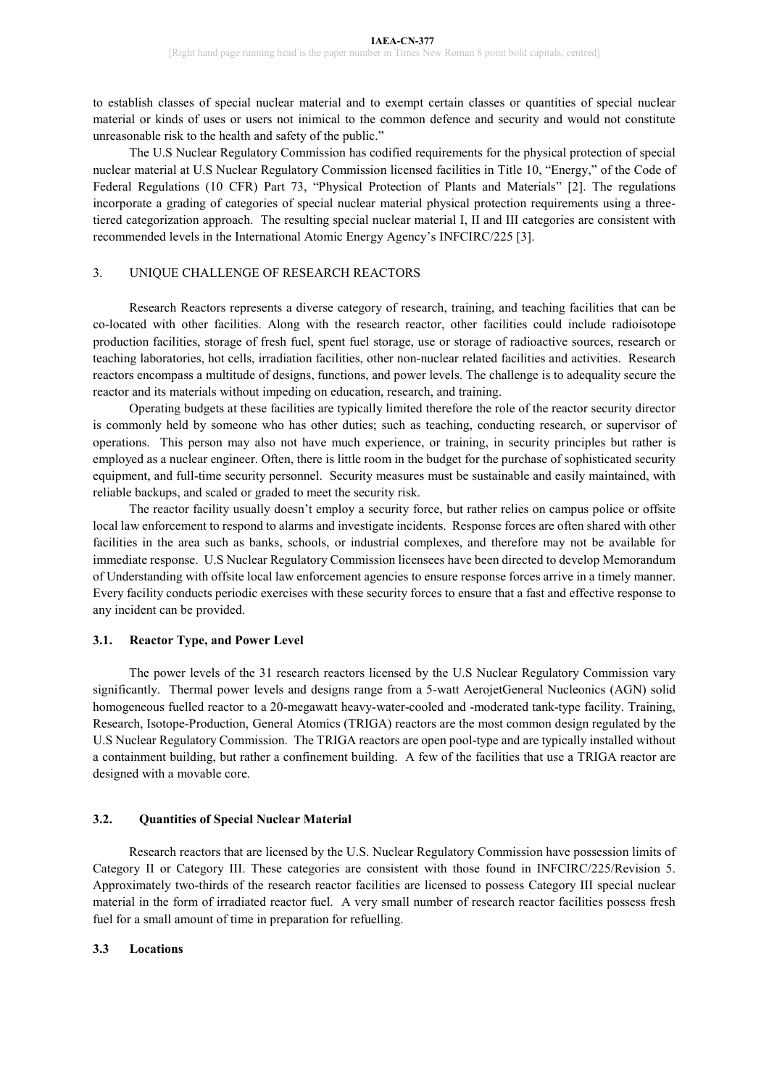to establish classes of special nuclear material and to exempt certain classes or quantities of special nuclear material or kinds of uses or users not inimical to the common defence and security and would not constitute unreasonable risk to the health and safety of the public."

The U.S Nuclear Regulatory Commission has codified requirements for the physical protection of special nuclear material at U.S Nuclear Regulatory Commission licensed facilities in Title 10, "Energy," of the Code of Federal Regulations (10 CFR) Part 73, "Physical Protection of Plants and Materials" [2]. The regulations incorporate a grading of categories of special nuclear material physical protection requirements using a threetiered categorization approach. The resulting special nuclear material I, II and III categories are consistent with recommended levels in the International Atomic Energy Agency's INFCIRC/225 [3].

# 3. UNIQUE CHALLENGE OF RESEARCH REACTORS

Research Reactors represents a diverse category of research, training, and teaching facilities that can be co-located with other facilities. Along with the research reactor, other facilities could include radioisotope production facilities, storage of fresh fuel, spent fuel storage, use or storage of radioactive sources, research or teaching laboratories, hot cells, irradiation facilities, other non-nuclear related facilities and activities. Research reactors encompass a multitude of designs, functions, and power levels. The challenge is to adequality secure the reactor and its materials without impeding on education, research, and training.

Operating budgets at these facilities are typically limited therefore the role of the reactor security director is commonly held by someone who has other duties; such as teaching, conducting research, or supervisor of operations. This person may also not have much experience, or training, in security principles but rather is employed as a nuclear engineer. Often, there is little room in the budget for the purchase of sophisticated security equipment, and full-time security personnel. Security measures must be sustainable and easily maintained, with reliable backups, and scaled or graded to meet the security risk.

The reactor facility usually doesn't employ a security force, but rather relies on campus police or offsite local law enforcement to respond to alarms and investigate incidents. Response forces are often shared with other facilities in the area such as banks, schools, or industrial complexes, and therefore may not be available for immediate response. U.S Nuclear Regulatory Commission licensees have been directed to develop Memorandum of Understanding with offsite local law enforcement agencies to ensure response forces arrive in a timely manner. Every facility conducts periodic exercises with these security forces to ensure that a fast and effective response to any incident can be provided.

# **3.1. Reactor Type, and Power Level**

The power levels of the 31 research reactors licensed by the U.S Nuclear Regulatory Commission vary significantly. Thermal power levels and designs range from a 5-watt AerojetGeneral Nucleonics (AGN) solid homogeneous fuelled reactor to a 20-megawatt heavy-water-cooled and -moderated tank-type facility. Training, Research, Isotope-Production, General Atomics (TRIGA) reactors are the most common design regulated by the U.S Nuclear Regulatory Commission. The TRIGA reactors are open pool-type and are typically installed without a containment building, but rather a confinement building. A few of the facilities that use a TRIGA reactor are designed with a movable core.

# **3.2. Quantities of Special Nuclear Material**

Research reactors that are licensed by the U.S. Nuclear Regulatory Commission have possession limits of Category II or Category III. These categories are consistent with those found in INFCIRC/225/Revision 5. Approximately two-thirds of the research reactor facilities are licensed to possess Category III special nuclear material in the form of irradiated reactor fuel. A very small number of research reactor facilities possess fresh fuel for a small amount of time in preparation for refuelling.

# **3.3 Locations**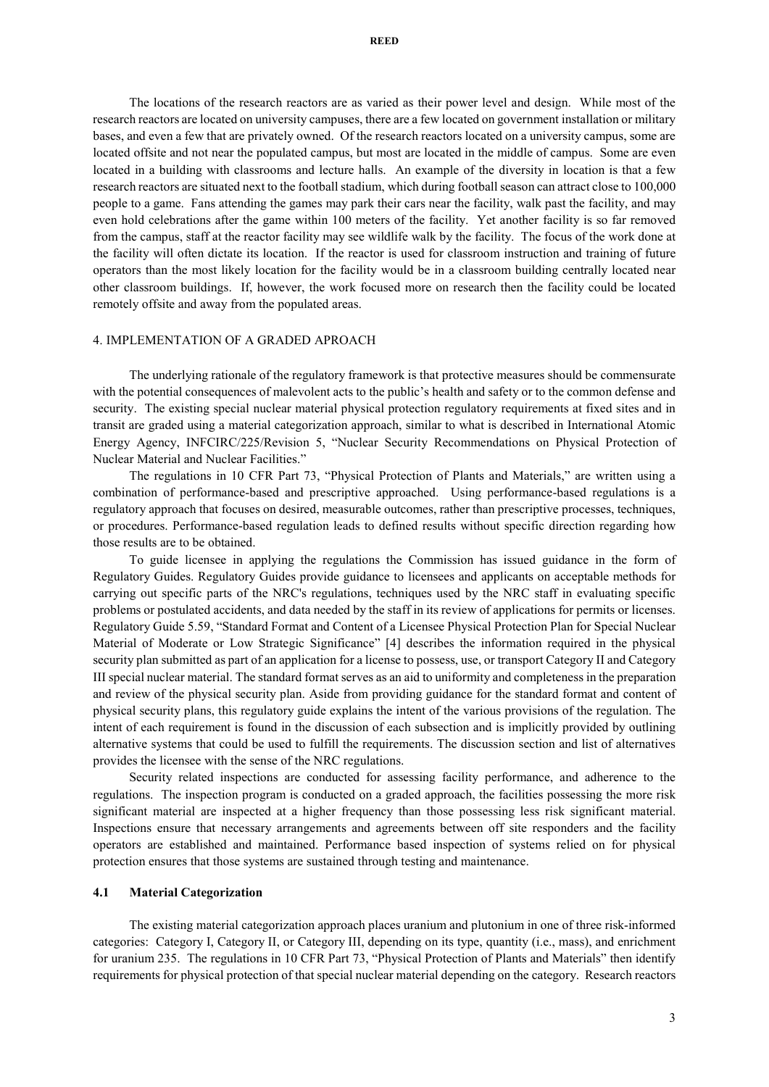The locations of the research reactors are as varied as their power level and design. While most of the research reactors are located on university campuses, there are a few located on government installation or military bases, and even a few that are privately owned. Of the research reactors located on a university campus, some are located offsite and not near the populated campus, but most are located in the middle of campus. Some are even located in a building with classrooms and lecture halls. An example of the diversity in location is that a few research reactors are situated next to the football stadium, which during football season can attract close to 100,000 people to a game. Fans attending the games may park their cars near the facility, walk past the facility, and may even hold celebrations after the game within 100 meters of the facility. Yet another facility is so far removed from the campus, staff at the reactor facility may see wildlife walk by the facility. The focus of the work done at the facility will often dictate its location. If the reactor is used for classroom instruction and training of future operators than the most likely location for the facility would be in a classroom building centrally located near other classroom buildings. If, however, the work focused more on research then the facility could be located remotely offsite and away from the populated areas.

#### 4. IMPLEMENTATION OF A GRADED APROACH

The underlying rationale of the regulatory framework is that protective measures should be commensurate with the potential consequences of malevolent acts to the public's health and safety or to the common defense and security. The existing special nuclear material physical protection regulatory requirements at fixed sites and in transit are graded using a material categorization approach, similar to what is described in International Atomic Energy Agency, INFCIRC/225/Revision 5, "Nuclear Security Recommendations on Physical Protection of Nuclear Material and Nuclear Facilities."

The regulations in 10 CFR Part 73, "Physical Protection of Plants and Materials," are written using a combination of performance-based and prescriptive approached. Using performance-based regulations is a regulatory approach that focuses on desired, measurable outcomes, rather than prescriptive processes, techniques, or procedures. Performance-based regulation leads to defined results without specific direction regarding how those results are to be obtained.

To guide licensee in applying the regulations the Commission has issued guidance in the form of Regulatory Guides. Regulatory Guides provide guidance to licensees and applicants on acceptable methods for carrying out specific parts of the NRC's regulations, techniques used by the NRC staff in evaluating specific problems or postulated accidents, and data needed by the staff in its review of applications for permits or licenses. Regulatory Guide 5.59, "Standard Format and Content of a Licensee Physical Protection Plan for Special Nuclear Material of Moderate or Low Strategic Significance" [4] describes the information required in the physical security plan submitted as part of an application for a license to possess, use, or transport Category II and Category III special nuclear material. The standard format serves as an aid to uniformity and completeness in the preparation and review of the physical security plan. Aside from providing guidance for the standard format and content of physical security plans, this regulatory guide explains the intent of the various provisions of the regulation. The intent of each requirement is found in the discussion of each subsection and is implicitly provided by outlining alternative systems that could be used to fulfill the requirements. The discussion section and list of alternatives provides the licensee with the sense of the NRC regulations.

Security related inspections are conducted for assessing facility performance, and adherence to the regulations. The inspection program is conducted on a graded approach, the facilities possessing the more risk significant material are inspected at a higher frequency than those possessing less risk significant material. Inspections ensure that necessary arrangements and agreements between off site responders and the facility operators are established and maintained. Performance based inspection of systems relied on for physical protection ensures that those systems are sustained through testing and maintenance.

### **4.1 Material Categorization**

The existing material categorization approach places uranium and plutonium in one of three risk-informed categories: Category I, Category II, or Category III, depending on its type, quantity (i.e., mass), and enrichment for uranium 235. The regulations in 10 CFR Part 73, "Physical Protection of Plants and Materials" then identify requirements for physical protection of that special nuclear material depending on the category. Research reactors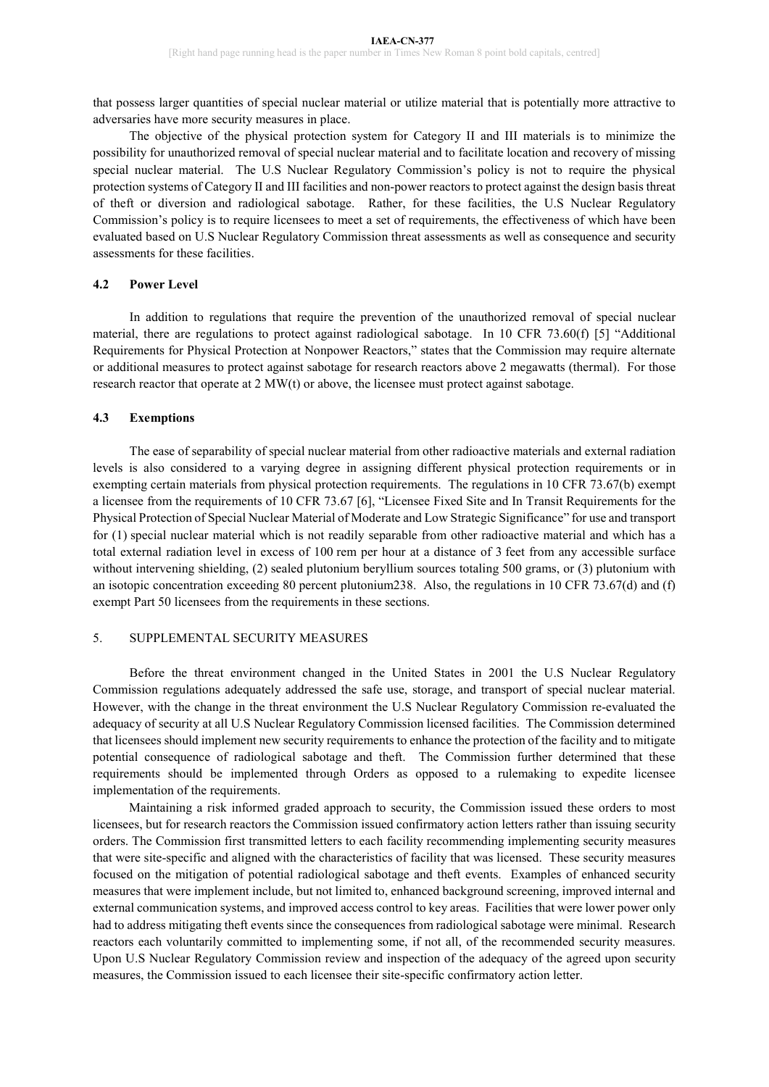that possess larger quantities of special nuclear material or utilize material that is potentially more attractive to adversaries have more security measures in place.

The objective of the physical protection system for Category II and III materials is to minimize the possibility for unauthorized removal of special nuclear material and to facilitate location and recovery of missing special nuclear material. The U.S Nuclear Regulatory Commission's policy is not to require the physical protection systems of Category II and III facilities and non-power reactors to protect against the design basis threat of theft or diversion and radiological sabotage. Rather, for these facilities, the U.S Nuclear Regulatory Commission's policy is to require licensees to meet a set of requirements, the effectiveness of which have been evaluated based on U.S Nuclear Regulatory Commission threat assessments as well as consequence and security assessments for these facilities.

### **4.2 Power Level**

In addition to regulations that require the prevention of the unauthorized removal of special nuclear material, there are regulations to protect against radiological sabotage. In 10 CFR 73.60(f) [5] "Additional Requirements for Physical Protection at Nonpower Reactors," states that the Commission may require alternate or additional measures to protect against sabotage for research reactors above 2 megawatts (thermal). For those research reactor that operate at 2 MW(t) or above, the licensee must protect against sabotage.

### **4.3 Exemptions**

The ease of separability of special nuclear material from other radioactive materials and external radiation levels is also considered to a varying degree in assigning different physical protection requirements or in exempting certain materials from physical protection requirements. The regulations in 10 CFR 73.67(b) exempt a licensee from the requirements of 10 CFR 73.67 [6], "Licensee Fixed Site and In Transit Requirements for the Physical Protection of Special Nuclear Material of Moderate and Low Strategic Significance" for use and transport for (1) special nuclear material which is not readily separable from other radioactive material and which has a total external radiation level in excess of 100 rem per hour at a distance of 3 feet from any accessible surface without intervening shielding, (2) sealed plutonium beryllium sources totaling 500 grams, or (3) plutonium with an isotopic concentration exceeding 80 percent plutonium238. Also, the regulations in 10 CFR 73.67(d) and (f) exempt Part 50 licensees from the requirements in these sections.

### 5. SUPPLEMENTAL SECURITY MEASURES

Before the threat environment changed in the United States in 2001 the U.S Nuclear Regulatory Commission regulations adequately addressed the safe use, storage, and transport of special nuclear material. However, with the change in the threat environment the U.S Nuclear Regulatory Commission re-evaluated the adequacy of security at all U.S Nuclear Regulatory Commission licensed facilities. The Commission determined that licensees should implement new security requirements to enhance the protection of the facility and to mitigate potential consequence of radiological sabotage and theft. The Commission further determined that these requirements should be implemented through Orders as opposed to a rulemaking to expedite licensee implementation of the requirements.

Maintaining a risk informed graded approach to security, the Commission issued these orders to most licensees, but for research reactors the Commission issued confirmatory action letters rather than issuing security orders. The Commission first transmitted letters to each facility recommending implementing security measures that were site-specific and aligned with the characteristics of facility that was licensed. These security measures focused on the mitigation of potential radiological sabotage and theft events. Examples of enhanced security measures that were implement include, but not limited to, enhanced background screening, improved internal and external communication systems, and improved access control to key areas. Facilities that were lower power only had to address mitigating theft events since the consequences from radiological sabotage were minimal. Research reactors each voluntarily committed to implementing some, if not all, of the recommended security measures. Upon U.S Nuclear Regulatory Commission review and inspection of the adequacy of the agreed upon security measures, the Commission issued to each licensee their site-specific confirmatory action letter.